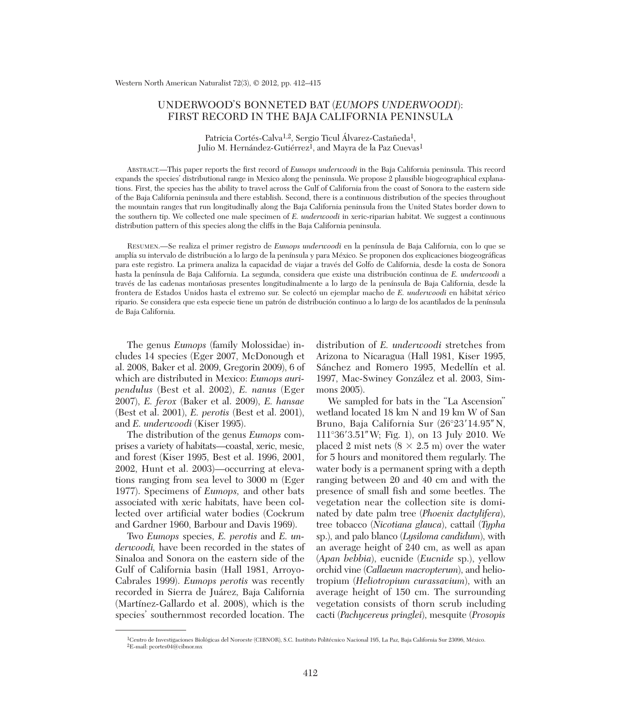## UNDERWOOD'S BONNETED BAT (*EUMOPS UNDERWOODI*): FIRST RECORD IN THE BAJA CALIFORNIA PENINSULA

Patricia Cortés-Calva<sup>1,2</sup>, Sergio Ticul Álvarez-Castañeda<sup>1</sup>, Julio M. Hernández-Gutiérrez<sup>1</sup>, and Mayra de la Paz Cuevas<sup>1</sup>

ABSTRACT.—This paper reports the first record of *Eumops underwoodi* in the Baja California peninsula. This record expands the species' distributional range in Mexico along the peninsula. We propose 2 plausible biogeographical explanations. First, the species has the ability to travel across the Gulf of California from the coast of Sonora to the eastern side of the Baja California peninsula and there establish. Second, there is a continuous distribution of the species throughout the mountain ranges that run longitudinally along the Baja California peninsula from the United States border down to the southern tip. We collected one male specimen of *E. underwoodi* in xeric-riparian habitat. We suggest a continuous distribution pattern of this species along the cliffs in the Baja California peninsula.

RESUMEN.—Se realiza el primer registro de *Eumops underwoodi* en la península de Baja California, con lo que se amplía su intervalo de distribución a lo largo de la península y para México. Se proponen dos explicaciones biogeográficas para este registro. La primera analiza la capacidad de viajar a través del Golfo de California, desde la costa de Sonora hasta la península de Baja California. La segunda, considera que existe una distribución continua de *E. underwoodi* a través de las cadenas montañosas presentes longitudinalmente a lo largo de la península de Baja California, desde la frontera de Estados Unidos hasta el extremo sur. Se colectó un ejemplar macho de *E. underwoodi* en hábitat xérico ripario. Se considera que esta especie tiene un patrón de distribución continuo a lo largo de los acantilados de la península de Baja California.

The genus *Eumops* (family Molossidae) in cludes 14 species (Eger 2007, McDonough et al. 2008, Baker et al. 2009, Gregorin 2009), 6 of which are distributed in Mexico: *Eumops auri pendulus* (Best et al. 2002), *E. nanus* (Eger 2007), *E. ferox* (Baker et al. 2009), *E. hansae* (Best et al. 2001), *E. perotis* (Best et al. 2001), and *E. underwoodi* (Kiser 1995).

The distribution of the genus *Eumops* comprises a variety of habitats—coastal, xeric, mesic, and forest (Kiser 1995, Best et al. 1996, 2001, 2002, Hunt et al. 2003)—occurring at elevations ranging from sea level to 3000 m (Eger 1977). Specimens of *Eumops,* and other bats associated with xeric habitats, have been collected over artificial water bodies (Cockrum and Gardner 1960, Barbour and Davis 1969).

Two *Eumops* species, *E. perotis* and *E. un derwoodi,* have been recorded in the states of Sinaloa and Sonora on the eastern side of the Gulf of California basin (Hall 1981, Arroyo-Cabrales 1999). *Eumops perotis* was recently recorded in Sierra de Juárez, Baja California (Martínez-Gallardo et al. 2008), which is the species' southernmost recorded location. The

distribution of *E. underwoodi* stretches from Arizona to Nicaragua (Hall 1981, Kiser 1995, Sánchez and Romero 1995, Medellín et al. 1997, Mac-Swiney González et al. 2003, Simmons 2005).

We sampled for bats in the "La Ascension" wetland located 18 km N and 19 km W of San Bruno, Baja California Sur (26°23'14.95" N, 111°36-3.51 W; Fig. 1), on 13 July 2010. We placed 2 mist nets  $(8 \times 2.5 \text{ m})$  over the water for 5 hours and monitored them regularly. The water body is a permanent spring with a depth ranging between 20 and 40 cm and with the presence of small fish and some beetles. The vegetation near the collection site is dominated by date palm tree (*Phoenix dactylifera*), tree tobacco (*Nicotiana glauca*), cattail (*Typha* sp.), and palo blanco (*Lysiloma candidum*), with an average height of 240 cm, as well as apan (*Apan bebbia*), eucnide (*Eucnide* sp.), yellow orchid vine (*Callaeum macropterum*), and heliotropium (*Heliotropium curassavium*), with an average height of 150 cm. The surrounding vegetation consists of thorn scrub including cacti (*Pachycereus pringlei*), mesquite (*Prosopis*

<sup>1</sup>Centro de Investigaciones Biológicas del Noroeste (CIBNOR), S.C. Instituto Politécnico Nacional 195, La Paz, Baja California Sur 23096, México.  ${}^{2}E$ -mail: pcortes04@cibnor.mx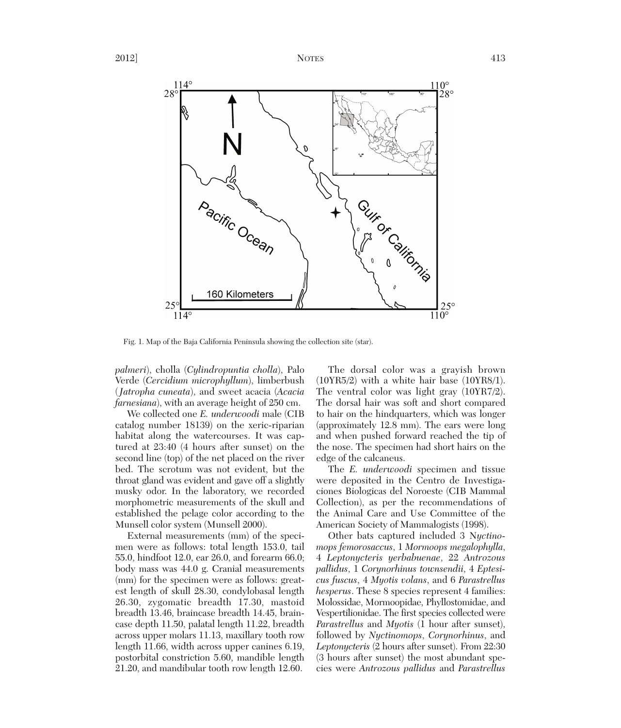

Fig. 1. Map of the Baja California Peninsula showing the collection site (star).

*palmeri*), cholla (*Cylindropuntia cholla*), Palo Verde (*Cercidium microphyllum*), limberbush (*Jatropha cuneata*), and sweet acacia (*Acacia farnesiana*), with an average height of 250 cm.

We collected one *E. underwoodi* male (CIB catalog number 18139) on the xeric-riparian habitat along the watercourses. It was captured at 23:40 (4 hours after sunset) on the second line (top) of the net placed on the river bed. The scrotum was not evident, but the throat gland was evident and gave off a slightly musky odor. In the laboratory, we recorded morphometric measurements of the skull and established the pelage color according to the Munsell color system (Munsell 2000).

External measurements (mm) of the specimen were as follows: total length 153.0, tail 55.0, hindfoot 12.0, ear 26.0, and forearm 66.0; body mass was 44.0 g. Cranial measurements (mm) for the specimen were as follows: greatest length of skull 28.30, condylobasal length 26.30, zygomatic breadth 17.30, mastoid breadth 13.46, braincase breadth 14.45, braincase depth 11.50, palatal length 11.22, breadth across upper molars 11.13, maxillary tooth row length 11.66, width across upper canines 6.19, postorbital constriction 5.60, mandible length 21.20, and mandibular tooth row length 12.60.

The dorsal color was a grayish brown (10YR5/2) with a white hair base (10YR8/1). The ventral color was light gray (10YR7/2). The dorsal hair was soft and short compared to hair on the hindquarters, which was longer (approximately 12.8 mm). The ears were long and when pushed forward reached the tip of the nose. The specimen had short hairs on the edge of the calcaneus.

The *E. underwoodi* specimen and tissue were deposited in the Centro de Investigaciones Biologicas del Noroeste (CIB Mammal Collection), as per the recommendations of the Animal Care and Use Committee of the American Society of Mammalogists (1998).

Other bats captured included 3 N*yctino mops femorosaccus*, 1 *Mormoops megalophylla*, 4 *Leptonycteris yerbabuenae*, 22 *Antrozous pallidus*, 1 *Corynorhinus townsendii*, 4 *Eptesicus fuscus*, 4 *Myotis volans*, and 6 *Parastrellus hesperus*. These 8 species represent 4 families: Molossidae, Mormoopidae, Phyllostomidae, and Vespertilionidae. The first species collected were *Parastrellus* and *Myotis* (1 hour after sunset), followed by *Nyctinomops*, *Coryno rhinus*, and *Leptonycteris* (2 hours after sunset). From 22:30 (3 hours after sunset) the most abundant species were *Antrozous pallidus* and *Parastrellus*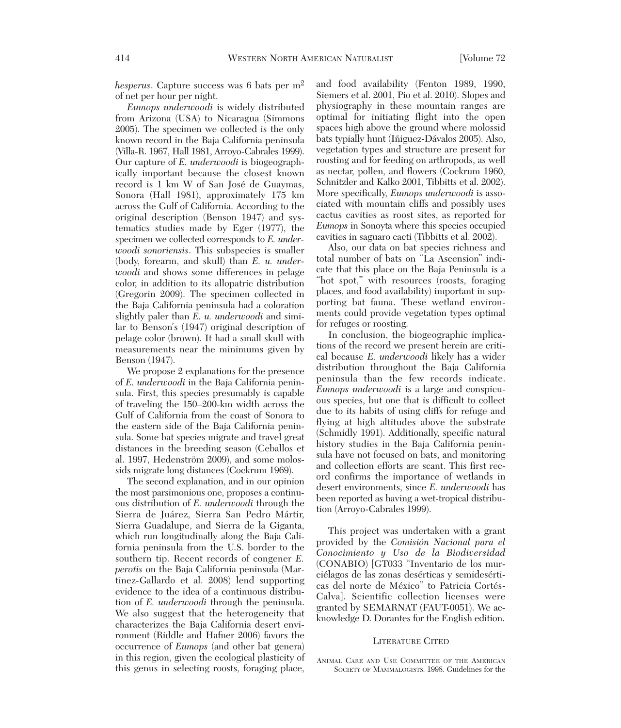*hesperus*. Capture success was 6 bats per m2 of net per hour per night.

*Eumops underwoodi* is widely distributed from Arizona (USA) to Nicaragua (Simmons 2005). The specimen we collected is the only known record in the Baja California peninsula (Villa-R. 1967, Hall 1981, Arroyo-Cabrales 1999). Our capture of *E. underwoodi* is biogeographically important because the closest known record is 1 km W of San José de Guaymas, Sonora (Hall 1981), approximately 175 km across the Gulf of California. According to the original description (Benson 1947) and systematics studies made by Eger (1977), the specimen we collected corresponds to *E. underwoodi sonoriensis*. This subspecies is smaller (body, forearm, and skull) than *E. u. underwoodi* and shows some differences in pelage color, in addition to its allopatric distribution (Gregorin 2009). The specimen collected in the Baja California peninsula had a coloration slightly paler than *E. u. underwoodi* and similar to Benson's (1947) original description of pelage color (brown). It had a small skull with measurements near the minimums given by Benson (1947).

We propose 2 explanations for the presence of *E. underwoodi* in the Baja California peninsula. First, this species presumably is capable of traveling the 150–200-km width across the Gulf of California from the coast of Sonora to the eastern side of the Baja California peninsula. Some bat species migrate and travel great distances in the breeding season (Ceballos et al. 1997, Hedenström 2009), and some molossids migrate long distances (Cockrum 1969).

The second explanation, and in our opinion the most parsimonious one, proposes a continuous distribution of *E. underwoodi* through the Sierra de Juárez, Sierra San Pedro Mártir, Sierra Guadalupe, and Sierra de la Giganta, which run longitudinally along the Baja California peninsula from the U.S. border to the southern tip. Recent records of congener *E. perotis* on the Baja California peninsula (Martinez-Gallardo et al. 2008) lend supporting evidence to the idea of a continuous distribution of *E. underwoodi* through the peninsula. We also suggest that the heterogeneity that characterizes the Baja California desert environment (Riddle and Hafner 2006) favors the occurrence of *Eumops* (and other bat genera) in this region, given the ecological plasticity of this genus in selecting roosts, foraging place,

and food availability (Fenton 1989, 1990, Siemers et al. 2001, Pio et al. 2010). Slopes and physiography in these mountain ranges are optimal for initiating flight into the open spaces high above the ground where molossid bats typially hunt (Iñiguez-Dávalos 2005). Also, vegetation types and structure are present for roosting and for feeding on arthropods, as well as nectar, pollen, and flowers (Cockrum 1960, Schnitzler and Kalko 2001, Tibbitts et al. 2002). More specifically, *Eumops underwoodi* is associated with mountain cliffs and possibly uses cactus cavities as roost sites, as reported for *Eumops* in Sonoyta where this species occupied cavities in saguaro cacti (Tibbitts et al. 2002).

Also, our data on bat species richness and total number of bats on "La Ascension" indicate that this place on the Baja Peninsula is a "hot spot," with resources (roosts, foraging places, and food availability) important in supporting bat fauna. These wetland environments could provide vegetation types optimal for refuges or roosting.

In conclusion, the biogeographic implications of the record we present herein are critical because *E. underwoodi* likely has a wider distribution throughout the Baja California peninsula than the few records indicate. *Eumops underwoodi* is a large and conspicuous species, but one that is difficult to collect due to its habits of using cliffs for refuge and flying at high altitudes above the substrate (Schmidly 1991). Additionally, specific natural history studies in the Baja California peninsula have not focused on bats, and monitoring and collection efforts are scant. This first record confirms the importance of wetlands in desert environments, since *E. underwoodi* has been reported as having a wet-tropical distribution (Arroyo-Cabrales 1999).

This project was undertaken with a grant provided by the *Comisión Nacional para el Conocimiento y Uso de la Biodiversidad* (CONABIO) [GT033 "Inventario de los murciélagos de las zonas desérticas y semidesérticas del norte de México" to Patricia Cortés-Calva]. Scientific collection licenses were granted by SEMARNAT (FAUT-0051). We ac knowledge D. Dorantes for the English edition.

## LITERATURE CITED

ANIMAL CARE AND USE COMMITTEE OF THE AMERICAN SOCIETY OF MAMMALOGISTS. 1998. Guidelines for the